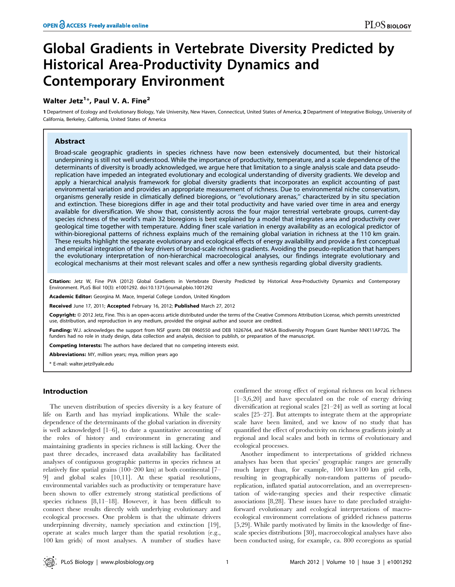# Global Gradients in Vertebrate Diversity Predicted by Historical Area-Productivity Dynamics and Contemporary Environment

## Walter Jetz $^{1*}$ , Paul V. A. Fine $^{2}$

1 Department of Ecology and Evolutionary Biology, Yale University, New Haven, Connecticut, United States of America, 2 Department of Integrative Biology, University of California, Berkeley, California, United States of America

## Abstract

Broad-scale geographic gradients in species richness have now been extensively documented, but their historical underpinning is still not well understood. While the importance of productivity, temperature, and a scale dependence of the determinants of diversity is broadly acknowledged, we argue here that limitation to a single analysis scale and data pseudoreplication have impeded an integrated evolutionary and ecological understanding of diversity gradients. We develop and apply a hierarchical analysis framework for global diversity gradients that incorporates an explicit accounting of past environmental variation and provides an appropriate measurement of richness. Due to environmental niche conservatism, organisms generally reside in climatically defined bioregions, or ''evolutionary arenas,'' characterized by in situ speciation and extinction. These bioregions differ in age and their total productivity and have varied over time in area and energy available for diversification. We show that, consistently across the four major terrestrial vertebrate groups, current-day species richness of the world's main 32 bioregions is best explained by a model that integrates area and productivity over geological time together with temperature. Adding finer scale variation in energy availability as an ecological predictor of within-bioregional patterns of richness explains much of the remaining global variation in richness at the 110 km grain. These results highlight the separate evolutionary and ecological effects of energy availability and provide a first conceptual and empirical integration of the key drivers of broad-scale richness gradients. Avoiding the pseudo-replication that hampers the evolutionary interpretation of non-hierarchical macroecological analyses, our findings integrate evolutionary and ecological mechanisms at their most relevant scales and offer a new synthesis regarding global diversity gradients.

Citation: Jetz W, Fine PVA (2012) Global Gradients in Vertebrate Diversity Predicted by Historical Area-Productivity Dynamics and Contemporary Environment. PLoS Biol 10(3): e1001292. doi:10.1371/journal.pbio.1001292

Academic Editor: Georgina M. Mace, Imperial College London, United Kingdom

Received June 17, 2011; Accepted February 16, 2012; Published March 27, 2012

Copyright: © 2012 Jetz, Fine. This is an open-access article distributed under the terms of the Creative Commons Attribution License, which permits unrestricted use, distribution, and reproduction in any medium, provided the original author and source are credited.

Funding: W.J. acknowledges the support from NSF grants DBI 0960550 and DEB 1026764, and NASA Biodiversity Program Grant Number NNX11AP72G. The funders had no role in study design, data collection and analysis, decision to publish, or preparation of the manuscript.

Competing Interests: The authors have declared that no competing interests exist.

Abbreviations: MY, million years; mya, million years ago

\* E-mail: walter.jetz@yale.edu

## Introduction

The uneven distribution of species diversity is a key feature of life on Earth and has myriad implications. While the scaledependence of the determinants of the global variation in diversity is well acknowledged [1–6], to date a quantitative accounting of the roles of history and environment in generating and maintaining gradients in species richness is still lacking. Over the past three decades, increased data availability has facilitated analyses of contiguous geographic patterns in species richness at relatively fine spatial grains (100–200 km) at both continental [7– 9] and global scales [10,11]. At these spatial resolutions, environmental variables such as productivity or temperature have been shown to offer extremely strong statistical predictions of species richness [8,11–18]. However, it has been difficult to connect these results directly with underlying evolutionary and ecological processes. One problem is that the ultimate drivers underpinning diversity, namely speciation and extinction [19], operate at scales much larger than the spatial resolution (e.g., 100 km grids) of most analyses. A number of studies have

confirmed the strong effect of regional richness on local richness [1–3,6,20] and have speculated on the role of energy driving diversification at regional scales [21–24] as well as sorting at local scales [25–27]. But attempts to integrate them at the appropriate scale have been limited, and we know of no study that has quantified the effect of productivity on richness gradients jointly at regional and local scales and both in terms of evolutionary and ecological processes.

Another impediment to interpretations of gridded richness analyses has been that species' geographic ranges are generally much larger than, for example,  $100 \text{ km} \times 100 \text{ km}$  grid cells, resulting in geographically non-random patterns of pseudoreplication, inflated spatial autocorrelation, and an overrepresentation of wide-ranging species and their respective climatic associations [8,28]. These issues have to date precluded straightforward evolutionary and ecological interpretations of macroecological environment correlations of gridded richness patterns [5,29]. While partly motivated by limits in the knowledge of finescale species distributions [30], macroecological analyses have also been conducted using, for example, ca. 800 ecoregions as spatial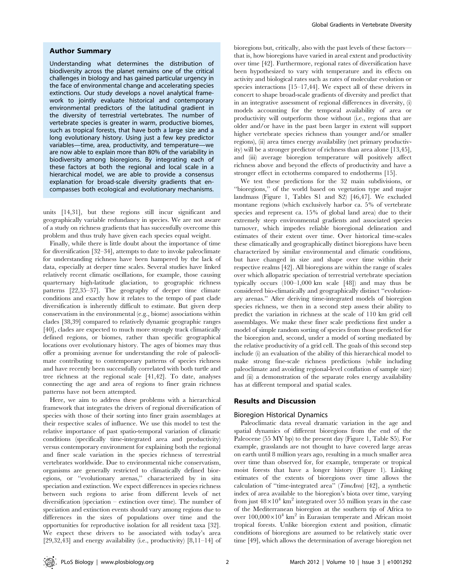#### Author Summary

Understanding what determines the distribution of biodiversity across the planet remains one of the critical challenges in biology and has gained particular urgency in the face of environmental change and accelerating species extinctions. Our study develops a novel analytical framework to jointly evaluate historical and contemporary environmental predictors of the latitudinal gradient in the diversity of terrestrial vertebrates. The number of vertebrate species is greater in warm, productive biomes, such as tropical forests, that have both a large size and a long evolutionary history. Using just a few key predictor variables—time, area, productivity, and temperature—we are now able to explain more than 80% of the variability in biodiversity among bioregions. By integrating each of these factors at both the regional and local scale in a hierarchical model, we are able to provide a consensus explanation for broad-scale diversity gradients that encompasses both ecological and evolutionary mechanisms.

units [14,31], but these regions still incur significant and geographically variable redundancy in species. We are not aware of a study on richness gradients that has successfully overcome this problem and thus truly have given each species equal weight.

Finally, while there is little doubt about the importance of time for diversification [32–34], attempts to date to invoke paleoclimate for understanding richness have been hampered by the lack of data, especially at deeper time scales. Several studies have linked relatively recent climatic oscillations, for example, those causing quarternary high-latitude glaciation, to geographic richness patterns [22,35–37]. The geography of deeper time climate conditions and exactly how it relates to the tempo of past clade diversification is inherently difficult to estimate. But given deep conservatism in the environmental (e.g., biome) associations within clades [38,39] compared to relatively dynamic geographic ranges [40], clades are expected to much more strongly track climatically defined regions, or biomes, rather than specific geographical locations over evolutionary history. The ages of biomes may thus offer a promising avenue for understanding the role of paleoclimate contributing to contemporary patterns of species richness and have recently been successfully correlated with both turtle and tree richness at the regional scale [41,42]. To date, analyses connecting the age and area of regions to finer grain richness patterns have not been attempted.

Here, we aim to address these problems with a hierarchical framework that integrates the drivers of regional diversification of species with those of their sorting into finer grain assemblages at their respective scales of influence. We use this model to test the relative importance of past spatio-temporal variation of climatic conditions (specifically time-integrated area and productivity) versus contemporary environment for explaining both the regional and finer scale variation in the species richness of terrestrial vertebrates worldwide. Due to environmental niche conservatism, organisms are generally restricted to climatically defined bioregions, or ''evolutionary arenas,'' characterized by in situ speciation and extinction. We expect differences in species richness between such regions to arise from different levels of net diversification (speciation – extinction over time). The number of speciation and extinction events should vary among regions due to differences in the sizes of populations over time and the opportunities for reproductive isolation for all resident taxa [32]. We expect these drivers to be associated with today's area [29,32,43] and energy availability (i.e., productivity)  $[8,11-14]$  of bioregions but, critically, also with the past levels of these factors that is, how bioregions have varied in areal extent and productivity over time [42]. Furthermore, regional rates of diversification have been hypothesized to vary with temperature and its effects on activity and biological rates such as rates of molecular evolution or species interactions [15–17,44]. We expect all of these drivers in concert to shape broad-scale gradients of diversity and predict that in an integrative assessment of regional differences in diversity, (i) models accounting for the temporal availability of area or productivity will outperform those without (i.e., regions that are older and/or have in the past been larger in extent will support higher vertebrate species richness than younger and/or smaller regions), (ii) area times energy availability (net primary productivity) will be a stronger predictor of richness than area alone [13,45], and (iii) average bioregion temperature will positively affect richness above and beyond the effects of productivity and have a stronger effect in ectotherms compared to endotherms [15].

We test these predictions for the 32 main subdivisions, or ''bioregions,'' of the world based on vegetation type and major landmass (Figure 1, Tables S1 and S2) [46,47]. We excluded montane regions (which exclusively harbor ca. 5% of vertebrate species and represent ca. 15% of global land area) due to their extremely steep environmental gradients and associated species turnover, which impedes reliable bioregional delineation and estimates of their extent over time. Over historical time-scales these climatically and geographically distinct bioregions have been characterized by similar environmental and climatic conditions, but have changed in size and shape over time within their respective realms [42]. All bioregions are within the range of scales over which allopatric speciation of terrestrial vertebrate speciation typically occurs (100–1,000 km scale [48]) and may thus be considered bio-climatically and geographically distinct ''evolutionary arenas.'' After deriving time-integrated models of bioregion species richness, we then in a second step assess their ability to predict the variation in richness at the scale of 110 km grid cell assemblages. We make these finer scale predictions first under a model of simple random sorting of species from those predicted for the bioregion and, second, under a model of sorting mediated by the relative productivity of a grid cell. The goals of this second step include (i) an evaluation of the ability of this hierarchical model to make strong fine-scale richness predictions (while including paleoclimate and avoiding regional-level conflation of sample size) and (ii) a demonstration of the separate roles energy availability has at different temporal and spatial scales.

## Results and Discussion

#### Bioregion Historical Dynamics

Paleoclimatic data reveal dramatic variation in the age and spatial dynamics of different bioregions from the end of the Paleocene (55 MY bp) to the present day (Figure 1, Table S5). For example, grasslands are not thought to have covered large areas on earth until 8 million years ago, resulting in a much smaller area over time than observed for, for example, temperate or tropical moist forests that have a longer history (Figure 1). Linking estimates of the extents of bioregions over time allows the calculation of ''time-integrated area'' (TimeArea) [42], a synthetic index of area available to the bioregion's biota over time, varying from just  $48\times10^4$  km<sup>2</sup> integrated over 55 million years in the case of the Mediterranean bioregion at the southern tip of Africa to over  $100,000\times10^4$  km<sup>2</sup> in Eurasian temperate and African moist tropical forests. Unlike bioregion extent and position, climatic conditions of bioregions are assumed to be relatively static over time [49], which allows the determination of average bioregion net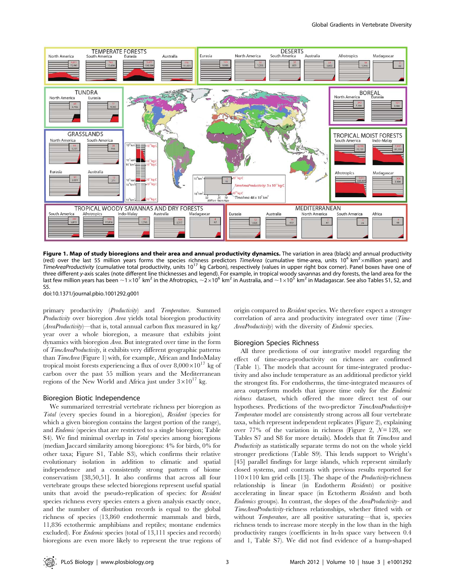

Figure 1. Map of study bioregions and their area and annual productivity dynamics. The variation in area (black) and annual productivity (red) over the last 55 million years forms the species richness predictors TimeArea (cumulative time-area, units 10<sup>4</sup> km<sup>2</sup> xmillion years) and TimeAreaProductivity (cumulative total productivity, units 10<sup>17</sup> kg Carbon), respectively (values in upper right box corner). Panel boxes have one of three different y-axis scales (note different line thicknesses and legend). For example, in tropical woody savannas and dry forests, the land area for the last few million years has been  $\sim 1\times10^7$  km<sup>2</sup> in the Afrotropics,  $\sim 2\times10^6$  km<sup>2</sup> in Australia, and  $\sim 1\times10^5$  km<sup>2</sup> in Madagascar. See also Tables S1, S2, and  $55$ 

doi:10.1371/journal.pbio.1001292.g001

primary productivity (Productivity) and Temperature. Summed Productivity over bioregion Area yields total bioregion productivity (AreaProductivity)—that is, total annual carbon flux measured in kg/ year over a whole bioregion, a measure that exhibits joint dynamics with bioregion Area. But integrated over time in the form of TimeAreaProductivity, it exhibits very different geographic patterns than TimeArea (Figure 1) with, for example, African and IndoMalay tropical moist forests experiencing a flux of over  $8,000\times10^{17}$  kg of carbon over the past 55 million years and the Mediterranean regions of the New World and Africa just under  $3\times10^{17}$  kg.

#### Bioregion Biotic Independence

We summarized terrestrial vertebrate richness per bioregion as Total (every species found in a bioregion), Resident (species for which a given bioregion contains the largest portion of the range), and Endemic (species that are restricted to a single bioregion; Table S4). We find minimal overlap in Total species among bioregions (median Jaccard similarity among bioregions: 4% for birds, 0% for other taxa; Figure S1, Table S3), which confirms their relative evolutionary isolation in addition to climatic and spatial independence and a consistently strong pattern of biome conservatism [38,50,51]. It also confirms that across all four vertebrate groups these selected bioregions represent useful spatial units that avoid the pseudo-replication of species: for Resident species richness every species enters a given analysis exactly once, and the number of distribution records is equal to the global richness of species (13,860 endothermic mammals and birds, 11,836 ectothermic amphibians and reptiles; montane endemics excluded). For Endemic species (total of 13,111 species and records) bioregions are even more likely to represent the true regions of origin compared to Resident species. We therefore expect a stronger correlation of area and productivity integrated over time (Time-AreaProductivity) with the diversity of Endemic species.

#### Bioregion Species Richness

All three predictions of our integrative model regarding the effect of time-area-productivity on richness are confirmed (Table 1). The models that account for time-integrated productivity and also include temperature as an additional predictor yield the strongest fits. For endotherms, the time-integrated measures of area outperform models that ignore time only for the Endemic richness dataset, which offered the more direct test of our hypotheses. Predictions of the two-predictor TimeAreaProductivity+ Temperature model are consistently strong across all four vertebrate taxa, which represent independent replicates (Figure 2), explaining over 77% of the variation in richness (Figure 2,  $\mathcal{N}=128$ , see Tables S7 and S8 for more details). Models that fit TimeArea and Productivity as statistically separate terms do not on the whole yield stronger predictions (Table S9). This lends support to Wright's [45] parallel findings for large islands, which represent similarly closed systems, and contrasts with previous results reported for  $110\times110$  km grid cells [13]. The shape of the *Productivity*-richness relationship is linear (in Endotherm Residents) or positive accelerating in linear space (in Ectotherm Residents and both Endemics groups). In contrast, the slopes of the AreaProductivity- and TimeAreaProductivity-richness relationships, whether fitted with or without Temperature, are all positive saturating—that is, species richness tends to increase more steeply in the low than in the high productivity ranges (coefficients in ln-ln space vary between 0.4 and 1, Table S7). We did not find evidence of a hump-shaped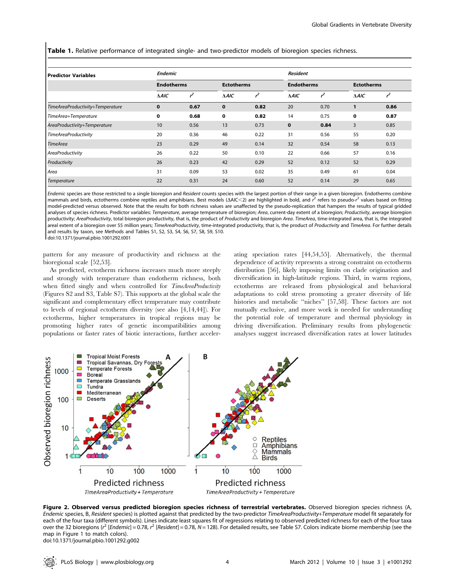Table 1. Relative performance of integrated single- and two-predictor models of bioregion species richness.

| Predictor Variables              | <b>Endemic</b>    |      |                   |               | <b>Resident</b>   |       |                   |      |
|----------------------------------|-------------------|------|-------------------|---------------|-------------------|-------|-------------------|------|
|                                  | <b>Endotherms</b> |      | <b>Ectotherms</b> |               | <b>Endotherms</b> |       | <b>Ectotherms</b> |      |
|                                  | $\triangle AIC$   | 2    | $\triangle AIC$   | $\mathcal{L}$ | $\triangle AIC$   | $r^2$ | $\triangle AIC$   |      |
| TimeAreaProductivity+Temperature | $\mathbf 0$       | 0.67 | $\mathbf 0$       | 0.82          | 20                | 0.70  | $\mathbf{1}$      | 0.86 |
| TimeArea+Temperature             | 0                 | 0.68 | 0                 | 0.82          | 14                | 0.75  | 0                 | 0.87 |
| AreaProductivity+Temperature     | 10                | 0.56 | 13                | 0.73          | $\mathbf 0$       | 0.84  | 3                 | 0.85 |
| TimeAreaProductivity             | 20                | 0.36 | 46                | 0.22          | 31                | 0.56  | 55                | 0.20 |
| <b>TimeArea</b>                  | 23                | 0.29 | 49                | 0.14          | 32                | 0.54  | 58                | 0.13 |
| AreaProductivity                 | 26                | 0.22 | 50                | 0.10          | 22                | 0.66  | 57                | 0.16 |
| Productivity                     | 26                | 0.23 | 42                | 0.29          | 52                | 0.12  | 52                | 0.29 |
| Area                             | 31                | 0.09 | 53                | 0.02          | 35                | 0.49  | 61                | 0.04 |
| Temperature                      | 22                | 0.31 | 24                | 0.60          | 52                | 0.14  | 29                | 0.65 |

Endemic species are those restricted to a single bioregion and Resident counts species with the largest portion of their range in a given bioregion. Endotherms combine mammals and birds, ectotherms combine reptiles and amphibians. Best models ( $\Delta AIC < 2$ ) are highlighted in bold, and  $\overline{r}$  refers to pseudo- $\overline{r}$  values based on fitting model-predicted versus observed. Note that the results for both richness values are unaffected by the pseudo-replication that hampers the results of typical gridded analyses of species richness. Predictor variables: Temperature, average temperature of bioregion; Area, current-day extent of a bioregion; Productivity, average bioregion productivity; AreaProductivity, total bioregion productivity, that is, the product of Productivity and bioregion Area. TimeArea, time-integrated area, that is, the integrated areal extent of a bioregion over 55 million years; TimeAreaProductivity, time-integrated productivity, that is, the product of Productivity and TimeArea. For further details and results by taxon, see Methods and Tables S1, S2, S3, S4, S6, S7, S8, S9, S10. doi:10.1371/journal.pbio.1001292.t001

pattern for any measure of productivity and richness at the bioregional scale [52,53].

As predicted, ectotherm richness increases much more steeply and strongly with temperature than endotherm richness, both when fitted singly and when controlled for TimeAreaProductivity (Figures S2 and S3, Table S7). This supports at the global scale the significant and complementary effect temperature may contribute to levels of regional ectotherm diversity (see also [4,14,44]). For ectotherms, higher temperatures in tropical regions may be promoting higher rates of genetic incompatibilities among populations or faster rates of biotic interactions, further accelerating speciation rates [44,54,55]. Alternatively, the thermal dependence of activity represents a strong constraint on ectotherm distribution [56], likely imposing limits on clade origination and diversification in high-latitude regions. Third, in warm regions, ectotherms are released from physiological and behavioral adaptations to cold stress promoting a greater diversity of life histories and metabolic ''niches'' [57,58]. These factors are not mutually exclusive, and more work is needed for understanding the potential role of temperature and thermal physiology in driving diversification. Preliminary results from phylogenetic analyses suggest increased diversification rates at lower latitudes



Figure 2. Observed versus predicted bioregion species richness of terrestrial vertebrates. Observed bioregion species richness (A, Endemic species, B, Resident species) is plotted against that predicted by the two-predictor TimeAreaProductivity+Temperature model fit separately for each of the four taxa (different symbols). Lines indicate least squares fit of regressions relating to observed predicted richness for each of the four taxa over the 32 bioregions (r<sup>2</sup> [Endemic] = 0.78, r<sup>2</sup> [Resident] = 0.78, N = 128). For detailed results, see Table S7. Colors indicate biome membership (see the map in Figure 1 to match colors). doi:10.1371/journal.pbio.1001292.g002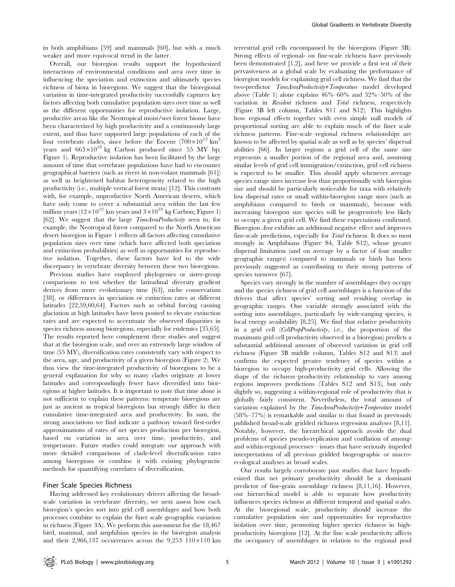in both amphibians [59] and mammals [60], but with a much weaker and more equivocal trend in the latter.

Overall, our bioregion results support the hypothesized interactions of environmental conditions and area over time in influencing the speciation and extinction and ultimately species richness of biota in bioregions. We suggest that the bioregional variation in time-integrated productivity successfully captures key factors affecting both cumulative population sizes over time as well as the different opportunities for reproductive isolation. Large, productive areas like the Neotropical moist/wet forest biome have been characterized by high productivity and a continuously large extent, and thus have supported large populations of each of the four vertebrate clades, since before the Eocene  $(700\times10^{12} \text{ km}^2$ years and  $663\times10^{18}$  kg Carbon produced since 55 MY bp; Figure 1). Reproductive isolation has been facilitated by the large amount of time that vertebrate populations have had to encounter geographical barriers (such as rivers in non-volant mammals [61]) as well as heightened habitat heterogeneity related to the high productivity (i.e., multiple vertical forest strata) [12]. This contrasts with, for example, unproductive North American deserts, which have only come to cover a substantial area within the last few million years  $(12\times10^{12} \text{ km} \text{ years and } 3\times10^{18} \text{ kg Carbon}; \text{ Figure 1})$ [62]. We suggest that the large *TimeAreaProductivity* seen in, for example, the Neotropical forest compared to the North American desert bioregion in Figure 1 reflects all factors affecting cumulative population sizes over time (which have affected both speciation and extinction probabilities) as well as opportunities for reproductive isolation. Together, these factors have led to the wide discrepancy in vertebrate diversity between these two bioregions.

Previous studies have employed phylogenies or sister-group comparisons to test whether the latitudinal diversity gradient derives from more evolutionary time [63], niche conservatism [38], or differences in speciation or extinction rates at different latitudes [22,59,60,64]. Factors such as orbital forcing causing glaciation at high latitudes have been posited to elevate extinction rates and are expected to accentuate the observed disparities in species richness among bioregions, especially for endemics [35,65]. The results reported here complement these studies and suggest that at the bioregion scale, and over an extremely large window of time (55 MY), diversification rates consistently vary with respect to the area, age, and productivity of a given bioregion (Figure 2). We thus view the time-integrated productivity of bioregions to be a general explanation for why so many clades originate at lower latitudes and correspondingly fewer have diversified into bioregions at higher latitudes. It is important to note that time alone is not sufficient to explain these patterns: temperate bioregions are just as ancient as tropical bioregions but strongly differ in their cumulative time-integrated area and productivity. In sum, the strong associations we find indicate a pathway toward first-order approximations of rates of net species production per bioregion, based on variation in area over time, productivity, and temperature. Future studies could integrate our approach with more detailed comparisons of clade-level diversification rates among bioregions or combine it with existing phylogenetic methods for quantifying correlates of diversification.

## Finer Scale Species Richness

Having addressed key evolutionary drivers affecting the broadscale variation in vertebrate diversity, we next assess how each bioregion's species sort into grid cell assemblages and how both processes combine to explain the finer scale geographic variation in richness (Figure 3A). We perform this assessment for the 18,467 bird, mammal, and amphibian species in the bioregion analysis and their 2,966,137 occurrences across the 9,253  $110\times110$  km

terrestrial grid cells encompassed by the bioregions (Figure 3B). Strong effects of regional- on fine-scale richness have previously been demonstrated [1,2], and here we provide a first test of their pervasiveness at a global scale by evaluating the performance of bioregion models for explaining grid cell richness. We find that the two-predictor TimeAreaProductivity+Temperature model developed above (Table 1) alone explains 46%–60% and 32%–50% of the variation in Resident richness and Total richness, respectively (Figure 3B left column, Tables S11 and S12). This highlights how regional effects together with even simple null models of proportional sorting are able to explain much of the finer scale richness patterns. Fine-scale–regional richness relationships are known to be affected by spatial scale as well as by species' dispersal abilities [66]. In larger regions a grid cell of the same size represents a smaller portion of the regional area and, assuming similar levels of grid cell immigration/extinction, grid cell richness is expected to be smaller. This should apply whenever average species range sizes increase less than proportionally with bioregion size and should be particularly noticeable for taxa with relatively low dispersal rates or small within-bioregion range sizes (such as amphibians compared to birds or mammals), because with increasing bioregion size species will be progressively less likely to occupy a given grid cell. We find these expectations confirmed. Bioregion Area exhibits an additional negative effect and improves fine-scale predictions, especially for Total richness. It does so most strongly in Amphibians (Figure S4, Table S12), whose greater dispersal limitation (and on average by a factor of four smaller geographic ranges) compared to mammals or birds has been previously suggested as contributing to their strong patterns of species turnover [67].

Species vary strongly in the number of assemblages they occupy and the species richness of grid cell assemblages is a function of the drivers that affect species' sorting and resulting overlap in geographic ranges. One variable strongly associated with the sorting into assemblages, particularly by wide-ranging species, is local energy availability [8,25]. We find that relative productivity in a grid cell (CellPropProductivity, i.e., the proportion of the maximum grid cell productivity observed in a bioregion) predicts a substantial additional amount of observed variation in grid cell richness (Figure 3B middle column, Tables S12 and S13) and confirms the expected greater tendency of species within a bioregion to occupy high-productivity grid cells. Allowing the shape of the richness–productivity relationship to vary among regions improves predictions (Tables S12 and S13), but only slightly so, suggesting a within-regional role of productivity that is globally fairly consistent. Nevertheless, the total amount of variation explained by the TimeAreaProductivity+Temperature model (58%–77%) is remarkable and similar to that found in previously published broad-scale gridded richness regression analyses [8,11]. Notably, however, the hierarchical approach avoids the dual problems of species pseudo-replication and conflation of amongand within-regional processes—issues that have seriously impeded interpretations of all previous gridded biogeographic or macroecological analyses at broad scales.

Our results largely corroborate past studies that have hypothesized that net primary productivity should be a dominant predictor of fine-grain assemblage richness [8,11,16]. However, our hierarchical model is able to separate how productivity influences species richness at different temporal and spatial scales. At the bioregional scale, productivity should increase the cumulative population size and opportunities for reproductive isolation over time, promoting higher species richness in highproductivity bioregions [12]. At the fine scale productivity affects the occupancy of assemblages in relation to the regional pool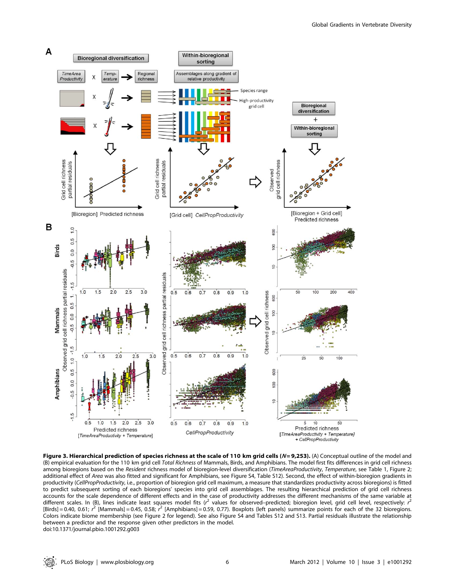

Figure 3. Hierarchical prediction of species richness at the scale of 110 km grid cells ( $N=9,253$ ). (A) Conceptual outline of the model and (B) empirical evaluation for the 110 km grid cell Total Richness of Mammals, Birds, and Amphibians. The model first fits differences in grid cell richness among bioregions based on the Resident richness model of bioregion-level diversification (TimeAreaProductivity, Temperature, see Table 1, Figure 2; additional effect of Area was also fitted and significant for Amphibians, see Figure S4, Table S12). Second, the effect of within-bioregion gradients in productivity (CellPropProductivity, i.e., proportion of bioregion grid cell maximum, a measure that standardizes productivity across bioregions) is fitted to predict subsequent sorting of each bioregions' species into grid cell assemblages. The resulting hierarchical prediction of grid cell richness accounts for the scale dependence of different effects and in the case of productivity addresses the different mechanisms of the same variable at different scales. In (B), lines indicate least squares model fits ( $r^2$  values for observed–predicted; bioregion level, grid cell level, respectively:  $r^2$  $[Birds] = 0.40, 0.61; r^2$  [Mammals] = 0.45, 0.58;  $r^2$  [Amphibians] = 0.59, 0.77). Boxplots (left panels) summarize points for each of the 32 bioregions. Colors indicate biome membership (see Figure 2 for legend). See also Figure S4 and Tables S12 and S13. Partial residuals illustrate the relationship between a predictor and the response given other predictors in the model. doi:10.1371/journal.pbio.1001292.g003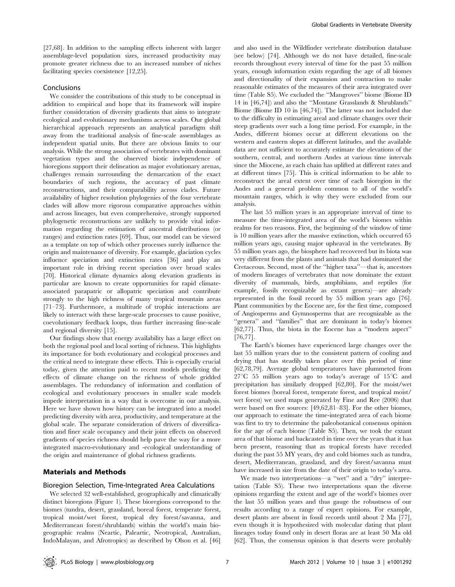[27,68]. In addition to the sampling effects inherent with larger assemblage-level population sizes, increased productivity may promote greater richness due to an increased number of niches facilitating species coexistence [12,25].

## Conclusions

We consider the contributions of this study to be conceptual in addition to empirical and hope that its framework will inspire further consideration of diversity gradients that aims to integrate ecological and evolutionary mechanisms across scales. Our global hierarchical approach represents an analytical paradigm shift away from the traditional analysis of fine-scale assemblages as independent spatial units. But there are obvious limits to our analysis. While the strong association of vertebrates with dominant vegetation types and the observed biotic independence of bioregions support their delineation as major evolutionary arenas, challenges remain surrounding the demarcation of the exact boundaries of such regions, the accuracy of past climate reconstructions, and their comparability across clades. Future availability of higher resolution phylogenies of the four vertebrate clades will allow more rigorous comparative approaches within and across lineages, but even comprehensive, strongly supported phylogenetic reconstructions are unlikely to provide vital information regarding the estimation of ancestral distributions (or ranges) and extinction rates [69]. Thus, our model can be viewed as a template on top of which other processes surely influence the origin and maintenance of diversity. For example, glaciation cycles influence speciation and extinction rates [36] and play an important role in driving recent speciation over broad scales [70]. Historical climate dynamics along elevation gradients in particular are known to create opportunities for rapid climateassociated parapatric or allopatric speciation and contribute strongly to the high richness of many tropical mountain areas [71–73]. Furthermore, a multitude of trophic interactions are likely to interact with these large-scale processes to cause positive, coevolutionary feedback loops, thus further increasing fine-scale and regional diversity [15].

Our findings show that energy availability has a large effect on both the regional pool and local sorting of richness. This highlights its importance for both evolutionary and ecological processes and the critical need to integrate these effects. This is especially crucial today, given the attention paid to recent models predicting the effects of climate change on the richness of whole gridded assemblages. The redundancy of information and conflation of ecological and evolutionary processes in smaller scale models impede interpretation in a way that is overcome in our analysis. Here we have shown how history can be integrated into a model predicting diversity with area, productivity, and temperature at the global scale. The separate consideration of drivers of diversification and finer scale occupancy and their joint effects on observed gradients of species richness should help pave the way for a more integrated macro-evolutionary and -ecological understanding of the origin and maintenance of global richness gradients.

#### Materials and Methods

## Bioregion Selection, Time-Integrated Area Calculations

We selected 32 well-established, geographically and climatically distinct bioregions (Figure 1). These bioregions correspond to the biomes (tundra, desert, grassland, boreal forest, temperate forest, tropical moist/wet forest, tropical dry forest/savanna, and Mediterranean forest/shrublands) within the world's main biogeographic realms (Neartic, Paleartic, Neotropical, Australian, IndoMalayan, and Afrotropics) as described by Olson et al. [46]

and also used in the Wildfinder vertebrate distribution database (see below) [74]. Although we do not have detailed, fine-scale records throughout every interval of time for the past 55 million years, enough information exists regarding the age of all biomes and directionality of their expansion and contraction to make reasonable estimates of the measures of their area integrated over time (Table S5). We excluded the ''Mangroves'' biome (Biome ID 14 in [46,74]) and also the ''Montane Grasslands & Shrublands'' Biome (Biome ID 10 in [46,74]). The latter was not included due to the difficulty in estimating areal and climate changes over their steep gradients over such a long time period. For example, in the Andes, different biomes occur at different elevations on the western and eastern slopes at different latitudes, and the available data are not sufficient to accurately estimate the elevations of the southern, central, and northern Andes at various time intervals since the Miocene, as each chain has uplifted at different rates and at different times [75]. This is critical information to be able to reconstruct the areal extent over time of each bioregion in the Andes and a general problem common to all of the world's mountain ranges, which is why they were excluded from our analysis.

The last 55 million years is an appropriate interval of time to measure the time-integrated area of the world's biomes within realms for two reasons. First, the beginning of the window of time is 10 million years after the massive extinction, which occurred 65 million years ago, causing major upheaval in the vertebrates. By 55 million years ago, the biosphere had recovered but its biota was very different from the plants and animals that had dominated the Cretaceous. Second, most of the ''higher taxa''—that is, ancestors of modern lineages of vertebrates that now dominate the extant diversity of mammals, birds, amphibians, and reptiles (for example, fossils recognizable as extant genera)—are already represented in the fossil record by 55 million years ago [76]. Plant communities by the Eocene are, for the first time, composed of Angiosperms and Gymnosperms that are recognizable as the "genera" and "families" that are dominant in today's biomes [62,77]. Thus, the biota in the Eocene has a ''modern aspect'' [76,77].

The Earth's biomes have experienced large changes over the last 55 million years due to the consistent pattern of cooling and drying that has steadily taken place over this period of time [62,78,79]. Average global temperatures have plummeted from  $27^{\circ}$ C 55 million years ago to today's average of 15 $^{\circ}$ C and precipitation has similarly dropped [62,80]. For the moist/wet forest biomes (boreal forest, temperate forest, and tropical moist/ wet forest) we used maps generated by Fine and Ree (2006) that were based on five sources: [49,62,81–83]. For the other biomes, our approach to estimate the time-integrated area of each biome was first to try to determine the paleobotanical consensus opinion for the age of each biome (Table S5). Then, we took the extant area of that biome and backcasted in time over the years that it has been present, reasoning that as tropical forests have receded during the past 55 MY years, dry and cold biomes such as tundra, desert, Mediterranean, grassland, and dry forest/savanna must have increased in size from the date of their origin to today's area.

We made two interpretations—a ''wet'' and a ''dry'' interpretation (Table S5). These two interpretations span the diverse opinions regarding the extent and age of the world's biomes over the last 55 million years and thus gauge the robustness of our results according to a range of expert opinions. For example, desert plants are absent in fossil records until about 2 Ma [77], even though it is hypothesized with molecular dating that plant lineages today found only in desert floras are at least 50 Ma old [62]. Thus, the consensus opinion is that deserts were probably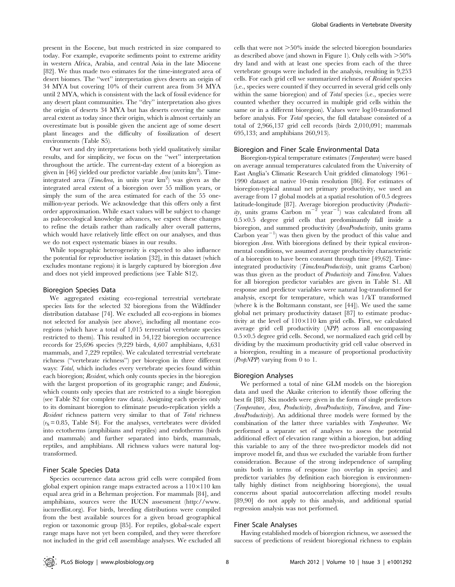present in the Eocene, but much restricted in size compared to today. For example, evaporite sediments point to extreme aridity in western Africa, Arabia, and central Asia in the late Miocene [82]. We thus made two estimates for the time-integrated area of desert biomes. The ''wet'' interpretation gives deserts an origin of 34 MYA but covering 10% of their current area from 34 MYA until 2 MYA, which is consistent with the lack of fossil evidence for any desert plant communities. The ''dry'' interpretation also gives the origin of deserts 34 MYA but has deserts covering the same areal extent as today since their origin, which is almost certainly an overestimate but is possible given the ancient age of some desert plant lineages and the difficulty of fossilization of desert environments (Table S5).

Our wet and dry interpretations both yield qualitatively similar results, and for simplicity, we focus on the ''wet'' interpretation throughout the article. The current-day extent of a bioregion as given in [46] yielded our predictor variable Area (units  $km^2$ ). Timeintegrated area (*TimeArea*, in units year  $km^2$ ) was given as the integrated areal extent of a bioregion over 55 million years, or simply the sum of the area estimated for each of the 55 onemillion-year periods. We acknowledge that this offers only a first order approximation. While exact values will be subject to change as paleoecological knowledge advances, we expect these changes to refine the details rather than radically alter overall patterns, which would have relatively little effect on our analyses, and thus we do not expect systematic biases in our results.

While topographic heterogeneity is expected to also influence the potential for reproductive isolation [32], in this dataset (which excludes montane regions) it is largely captured by bioregion Area and does not yield improved predictions (see Table S12).

#### Bioregion Species Data

We aggregated existing eco-regional terrestrial vertebrate species lists for the selected 32 bioregions from the Wildfinder distribution database [74]. We excluded all eco-regions in biomes not selected for analysis (see above), including all montane ecoregions (which have a total of 1,015 terrestrial vertebrate species restricted to them). This resulted in 54,122 bioregion occurrence records for 25,696 species (9,229 birds, 4,607 amphibians, 4,631 mammals, and 7,229 reptiles). We calculated terrestrial vertebrate richness (''vertebrate richness'') per bioregion in three different ways: Total, which includes every vertebrate species found within each bioregion; Resident, which only counts species in the bioregion with the largest proportion of its geographic range; and Endemic, which counts only species that are restricted to a single bioregion (see Table S2 for complete raw data). Assigning each species only to its dominant bioregion to eliminate pseudo-replication yields a Resident richness pattern very similar to that of Total richness  $(r<sub>S</sub> = 0.85,$  Table S4). For the analyses, vertebrates were divided into ectotherms (amphibians and reptiles) and endotherms (birds and mammals) and further separated into birds, mammals, reptiles, and amphibians. All richness values were natural logtransformed.

#### Finer Scale Species Data

Species occurrence data across grid cells were compiled from global expert opinion range maps extracted across a  $110\times110$  km equal area grid in a Behrman projection. For mammals [84], and amphibians, sources were the IUCN assessment (http://www. iucnredlist.org). For birds, breeding distributions were compiled from the best available sources for a given broad geographical region or taxonomic group [85]. For reptiles, global-scale expert range maps have not yet been compiled, and they were therefore not included in the grid cell assemblage analyses. We excluded all cells that were not  $>50\%$  inside the selected bioregion boundaries as described above (and shown in Figure 1). Only cells with  $>50\%$ dry land and with at least one species from each of the three vertebrate groups were included in the analysis, resulting in 9,253 cells. For each grid cell we summarized richness of Resident species (i.e., species were counted if they occurred in several grid cells only within the same bioregion) and of *Total* species (i.e., species were counted whether they occurred in multiple grid cells within the same or in a different bioregion). Values were log10-transformed before analysis. For Total species, the full database consisted of a total of 2,966,137 grid cell records (birds 2,010,091; mammals 695,133; and amphibians 260,913).

#### Bioregion and Finer Scale Environmental Data

Bioregion-typical temperature estimates (Temperature) were based on average annual temperatures calculated from the University of East Anglia's Climatic Research Unit gridded climatology 1961– 1990 dataset at native 10-min resolution [86]. For estimates of bioregion-typical annual net primary productivity, we used an average from 17 global models at a spatial resolution of 0.5 degrees latitude-longitude [87]. Average bioregion productivity (Productivity, units grams Carbon  $m^{-2}$  year<sup>-1</sup>) was calculated from all  $0.5 \times 0.5$  degree grid cells that predominantly fall inside a bioregion, and summed productivity (AreaProductivity, units grams Carbon  $year^{-1}$ ) was then given by the product of this value and bioregion Area. With bioregions defined by their typical environmental conditions, we assumed average productivity characteristic of a bioregion to have been constant through time [49,62]. Timeintegrated productivity (TimeAreaProductivity, unit grams Carbon) was thus given as the product of *Productivity* and *TimeArea*. Values for all bioregion predictor variables are given in Table S1. All response and predictor variables were natural log-transformed for analysis, except for temperature, which was 1/kT transformed (where k is the Boltzmann constant, see [44]). We used the same global net primary productivity dataset [87] to estimate productivity at the level of  $110\times110$  km grid cells. First, we calculated average grid cell productivity (NPP) across all encompassing  $0.5 \times 0.5$  degree grid cells. Second, we normalized each grid cell by dividing by the maximum productivity grid cell value observed in a bioregion, resulting in a measure of proportional productivity  $(PropNPP)$  varying from 0 to 1.

#### Bioregion Analyses

We performed a total of nine GLM models on the bioregion data and used the Akaike criterion to identify those offering the best fit [88]. Six models were given in the form of single predictors (Temperature, Area, Productivity, AreaProductivity, TimeArea, and Time-AreaProductivity). An additional three models were formed by the combination of the latter three variables with Temperature. We performed a separate set of analyses to assess the potential additional effect of elevation range within a bioregion, but adding this variable to any of the three two-predictor models did not improve model fit, and thus we excluded the variable from further consideration. Because of the strong independence of sampling units both in terms of response (no overlap in species) and predictor variables (by definition each bioregion is environmentally highly distinct from neighboring bioregions), the usual concerns about spatial autocorrelation affecting model results [89,90] do not apply to this analysis, and additional spatial regression analysis was not performed.

#### Finer Scale Analyses

Having established models of bioregion richness, we assessed the success of predictions of resident bioregional richness to explain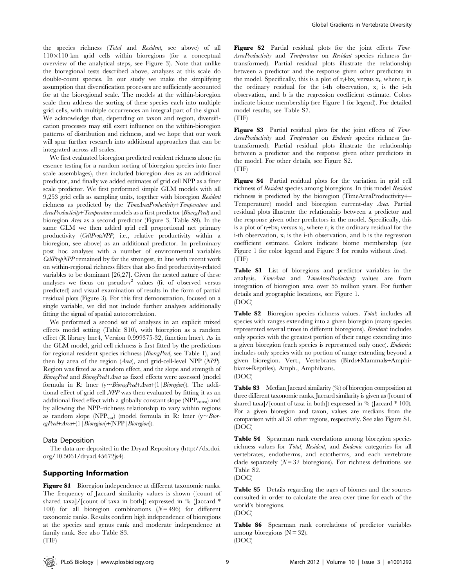the species richness (Total and Resident, see above) of all  $110\times110$  km grid cells within bioregions (for a conceptual overview of the analytical steps, see Figure 3). Note that unlike the bioregional tests described above, analyses at this scale do double-count species. In our study we make the simplifying assumption that diversification processes are sufficiently accounted for at the bioregional scale. The models at the within-bioregion scale then address the sorting of these species each into multiple grid cells, with multiple occurrences an integral part of the signal. We acknowledge that, depending on taxon and region, diversification processes may still exert influence on the within-bioregion patterns of distribution and richness, and we hope that our work will spur further research into additional approaches that can be integrated across all scales.

We first evaluated bioregion predicted resident richness alone (in essence testing for a random sorting of bioregion species into finer scale assemblages), then included bioregion Area as an additional predictor, and finally we added estimates of grid cell NPP as a finer scale predictor. We first performed simple GLM models with all 9,253 grid cells as sampling units, together with bioregion Resident richness as predicted by the TimeAreaProductivity+Temperature and AreaProductivity+Temperature models as a first predictor (BioregPred) and bioregion Area as a second predictor (Figure 3, Table S9). In the same GLM we then added grid cell proportional net primary productivity (CellPropNPP, i.e., relative productivity within a bioregion, see above) as an additional predictor. In preliminary post hoc analyses with a number of environmental variables CellPropNPP remained by far the strongest, in line with recent work on within-regional richness filters that also find productivity-related variables to be dominant [26,27]. Given the nested nature of these analyses we focus on pseudo- $r^2$  values (fit of observed versus predicted) and visual examination of results in the form of partial residual plots (Figure 3). For this first demonstration, focused on a single variable, we did not include further analyses additionally fitting the signal of spatial autocorrelation.

We performed a second set of analyses in an explicit mixed effects model setting (Table S10), with bioregion as a random effect (R library lme4, Version 0.999375-32, function lmer). As in the GLM model, grid cell richness is first fitted by the predictions for regional resident species richness (BioregPred, see Table 1), and then by area of the region (Area), and grid-cell-level NPP (NPP). Region was fitted as a random effect, and the slope and strength of BioregPred and BioregPred+Area as fixed effects were assessed (model formula in R: lmer  $(y \sim BioregPred + Area + (1 | Bioregion))$ . The additional effect of grid cell NPP was then evaluated by fitting it as an additional fixed effect with a globally constant slope  $(NPP_{\text{const}})$  and by allowing the NPP–richness relationship to vary within regions as random slope (NPP<sub>var</sub>) (model formula in R: lmer ( $y \sim B$ ioregPred+Area+(1|Bioregion)+(NPP|Bioregion)).

#### Data Deposition

The data are deposited in the Dryad Repository (http://dx.doi. org/10.5061/dryad.45672js4).

## Supporting Information

Figure S1 Bioregion independence at different taxonomic ranks. The frequency of Jaccard similarity values is shown ([count of shared taxa]/[count of taxa in both]) expressed in % (Jaccard \* 100) for all bioregion combinations  $(N=496)$  for different taxonomic ranks. Results confirm high independence of bioregions at the species and genus rank and moderate independence at family rank. See also Table S3.

Global Gradients in Vertebrate Diversity

Figure S2 Partial residual plots for the joint effects Time-AreaProductivity and Temperature on Resident species richness (lntransformed). Partial residual plots illustrate the relationship between a predictor and the response given other predictors in the model. Specifically, this is a plot of  $r_i$ +bx<sub>i</sub> versus x<sub>i</sub>, where  $r_i$  is the ordinary residual for the i-th observation,  $x_i$  is the i-th observation, and b is the regression coefficient estimate. Colors indicate biome membership (see Figure 1 for legend). For detailed model results, see Table S7.

(TIF)

Figure S3 Partial residual plots for the joint effects of Time-AreaProductivity and Temperature on Endemic species richness (lntransformed). Partial residual plots illustrate the relationship between a predictor and the response given other predictors in the model. For other details, see Figure S2. (TIF)

Figure S4 Partial residual plots for the variation in grid cell richness of Resident species among bioregions. In this model Resident richness is predicted by the bioregion (TimeAreaProductivity+- Temperature) model and bioregion current-day Area. Partial residual plots illustrate the relationship between a predictor and the response given other predictors in the model. Specifically, this is a plot of  $r_i + bx_i$  versus  $x_i$ , where  $r_i$  is the ordinary residual for the i-th observation,  $x_i$  is the i-th observation, and b is the regression coefficient estimate. Colors indicate biome membership (see Figure 1 for color legend and Figure 3 for results without Area). (TIF)

Table S1 List of bioregions and predictor variables in the analysis. TimeArea and TimeAreaProductivity values are from integration of bioregion area over 55 million years. For further details and geographic locations, see Figure 1. (DOC)

Table S2 Bioregion species richness values. Total: includes all species with ranges extending into a given bioregion (many species represented several times in different bioregions). Resident: includes only species with the greatest portion of their range extending into a given bioregion (each species is represented only once). Endemic: includes only species with no portion of range extending beyond a given bioregion. Vert., Vertebrates (Birds+Mammals+Amphi-

bians+Reptiles). Amph., Amphibians. (DOC)

Table S3 Median Jaccard similarity (%) of bioregion composition at three different taxonomic ranks. Jaccard similarity is given as ([count of shared taxa]/[count of taxa in both]) expressed in % (Jaccard \* 100). For a given bioregion and taxon, values are medians from the comparison with all 31 other regions, respectively. See also Figure S1. (DOC)

Table S4 Spearman rank correlations among bioregion species richness values for Total, Resident, and Endemic categories for all vertebrates, endotherms, and ectotherms, and each vertebrate clade separately  $(N=32)$  bioregions). For richness definitions see Table S2.

(DOC)

Table S5 Details regarding the ages of biomes and the sources consulted in order to calculate the area over time for each of the world's bioregions.

(DOC)

Table S6 Spearman rank correlations of predictor variables among bioregions ( $N = 32$ ).

(DOC)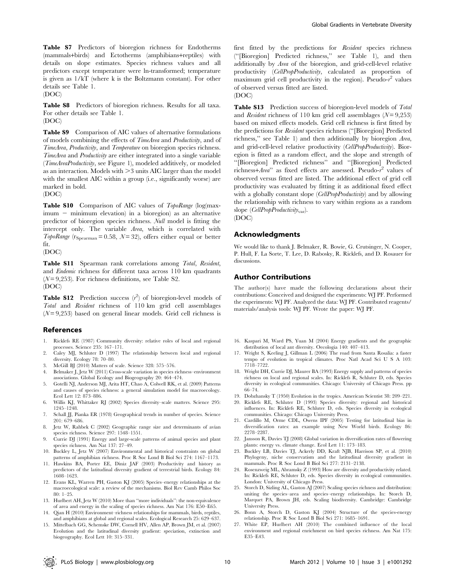Table S7 Predictors of bioregion richness for Endotherms (mammals+birds) and Ectotherms (amphibians+reptiles) with details on slope estimates. Species richness values and all predictors except temperature were ln-transformed; temperature is given as 1/kT (where k is the Boltzmann constant). For other details see Table 1.

(DOC)

Table S8 Predictors of bioregion richness. Results for all taxa. For other details see Table 1.

(DOC)

Table S9 Comparison of AIC values of alternative formulations of models combining the effects of TimeArea and Productivity, and of TimeArea, Productivity, and Temperature on bioregion species richness. TimeArea and Productivity are either integrated into a single variable (TimeAreaProductivity, see Figure 1), modeled additively, or modeled as an interaction. Models with  $>3$  units AIC larger than the model with the smallest AIC within a group (i.e., significantly worse) are marked in bold.

(DOC)

Table S10 Comparison of AIC values of TopoRange (log(max- $\lim_{m \to \infty}$  minimum elevation) in a bioregion) as an alternative predictor of bioregion species richness. Null model is fitting the intercept only. The variable Area, which is correlated with TopoRange ( $r_{Spearman}$  = 0.58, N = 32), offers either equal or better fit.

(DOC)

Table S11 Spearman rank correlations among Total, Resident, and Endemic richness for different taxa across 110 km quadrants  $(N=9,253)$ . For richness definitions, see Table S2. (DOC)

**Table S12** Prediction success  $(r^2)$  of bioregion-level models of Total and Resident richness of 110 km grid cell assemblages  $(N=9,253)$  based on general linear models. Grid cell richness is

## References

- 1. Ricklefs RE (1987) Community diversity: relative roles of local and regional processes. Science 235: 167–171.
- 2. Caley MJ, Schluter D (1997) The relationship between local and regional diversity. Ecology 78: 70–80.
- 3. McGill BJ (2010) Matters of scale. Science 328: 575–576.
- 4. Belmaker J, Jetz W (2011) Cross-scale variation in species richness–environment associations. Global Ecology and Biogeography 20: 464–474. 5. Gotelli NJ, Anderson MJ, Arita HT, Chao A, Colwell RK, et al. (2009) Patterns
- and causes of species richness: a general simulation model for macroecology. Ecol Lett 12: 873–886.
- 6. Willis KJ, Whittaker RJ (2002) Species diversity–scale matters. Science 295: 1245–1248.
- 7. Schall JJ, Pianka ER (1978) Geographical trends in number of species. Science 201: 679–686.
- 8. Jetz W, Rahbek C (2002) Geographic range size and determinants of avian species richness. Science 297: 1548–1551.
- 9. Currie DJ (1991) Energy and large-scale patterns of animal species and plant species richness. Am Nat 137: 27–49.
- 10. Buckley L, Jetz W (2007) Environmental and historical constraints on global patterns of amphibian richness. Proc R Soc Lond B Biol Sci 274: 1167–1173.
- 11. Hawkins BA, Porter EE, Diniz JAF (2003) Productivity and history as predictors of the latitudinal diversity gradient of terrestrial birds. Ecology 84: 1608–1623.
- 12. Evans KL, Warren PH, Gaston KJ (2005) Species–energy relationships at the macroecological scale: a review of the mechanisms. Biol Rev Camb Philos Soc 80: 1–25.
- 13. Hurlbert AH, Jetz W (2010) More than ''more individuals'': the non-equivalence of area and energy in the scaling of species richness. Am Nat 176: E50–E65.
- 14. Qian H (2010) Environment–richness relationships for mammals, birds, reptiles, and amphibians at global and regional scales. Ecological Research 25: 629–637.
- 15. Mittelbach GG, Schemske DW, Cornell HV, Allen AP, Brown JM, et al. (2007) Evolution and the latitudinal diversity gradient: speciation, extinction and biogeography. Ecol Lett 10: 315–331.

first fitted by the predictions for Resident species richness (''[Bioregion] Predicted richness,'' see Table 1), and then additionally by Area of the bioregion, and grid-cell-level relative productivity (CellPropProductivity, calculated as proportion of maximum grid cell productivity in the region). Pseudo- $r^2$  values of observed versus fitted are listed.

## (DOC)

Table S13 Prediction success of bioregion-level models of Total and Resident richness of 110 km grid cell assemblages  $(N= 9,253)$ based on mixed effects models. Grid cell richness is first fitted by the predictions for Resident species richness (''[Bioregion] Predicted richness,'' see Table 1) and then additionally by bioregion Area, and grid-cell-level relative productivity (CellPropProductivity). Bioregion is fitted as a random effect, and the slope and strength of ''[Bioregion] Predicted richness'' and ''[Bioregion] Predicted richness+Area" as fixed effects are assessed. Pseudo- $r^2$  values of observed versus fitted are listed. The additional effect of grid cell productivity was evaluated by fitting it as additional fixed effect with a globally constant slope (CellPropProductivity) and by allowing the relationship with richness to vary within regions as a random slope (CellPropProductivity<sub>var</sub>).

(DOC)

## Acknowledgments

We would like to thank J. Belmaker, R. Bowie, G. Crutsinger, N. Cooper, P. Hull, F. La Sorte, T. Lee, D. Rabosky, R. Ricklefs, and D. Rosauer for discussions.

## Author Contributions

The author(s) have made the following declarations about their contributions: Conceived and designed the experiments: WJ PF. Performed the experiments: WJ PF. Analyzed the data: WJ PF. Contributed reagents/ materials/analysis tools: WJ PF. Wrote the paper: WJ PF.

- 16. Kaspari M, Ward PS, Yuan M (2004) Energy gradients and the geographic distribution of local ant diversity. Oecologia 140: 407–413.
- 17. Wright S, Keeling J, Gillman L (2006) The road from Santa Rosalia: a faster tempo of evolution in tropical climates. Proc Natl Acad Sci U S A 103: 7718–7722.
- 18. Wright DH, Currie DJ, Maurer BA (1993) Energy supply and patterns of species richness on local and regional scales. In: Ricklefs R, Schluter D, eds. Species diversity in ecological communities. Chicago: University of Chicago Press. pp 66–74.
- 19. Dobzhansky T (1950) Evolution in the tropics. American Scientist 38: 209–221.
- 20. Ricklefs RE, Schluter D (1993) Species diversity: regional and historical influences. In: Ricklefs RE, Schluter D, eds. Species diversity in ecological communities. Chicago: Chicago University Press.
- 21. Cardillo M, Orme CDL, Owens IPF (2005) Testing for latitudinal bias in diversification rates: an example using New World birds. Ecology 86: 2278–2287.
- 22. Jansson R, Davies TJ (2008) Global variation in diversification rates of flowering plants: energy vs. climate change. Ecol Lett 11: 173–183.
- 23. Buckley LB, Davies TJ, Ackerly DD, Kraft NJB, Harrison SP, et al. (2010) Phylogeny, niche conservatism and the latitudinal diversity gradient in mammals. Proc R Soc Lond B Biol Sci 277: 2131–2138.
- 24. Rosenzweig ML, Abramsky Z (1993) How are diversity and productivity related. In: Ricklefs RE, Schluter D, eds. Species diversity in ecological communities. London: University of Chicago Press.
- 25. Storch D, Sizling AL, Gaston AJ (2007) Scaling species richness and distribution: uniting the species–area and species–energy relationships. In: Storch D, Marquet PA, Brown JH, eds. Scaling biodiversity. Cambridge: Cambridge University Press.
- 26. Bonn A, Storch D, Gaston KJ (2004) Structure of the species-energy relationship. Proc R Soc Lond B Biol Sci 271: 1685–1691.
- 27. White EP, Hurlbert AH (2010) The combined influence of the local environment and regional enrichment on bird species richness. Am Nat 175: E35–E43.